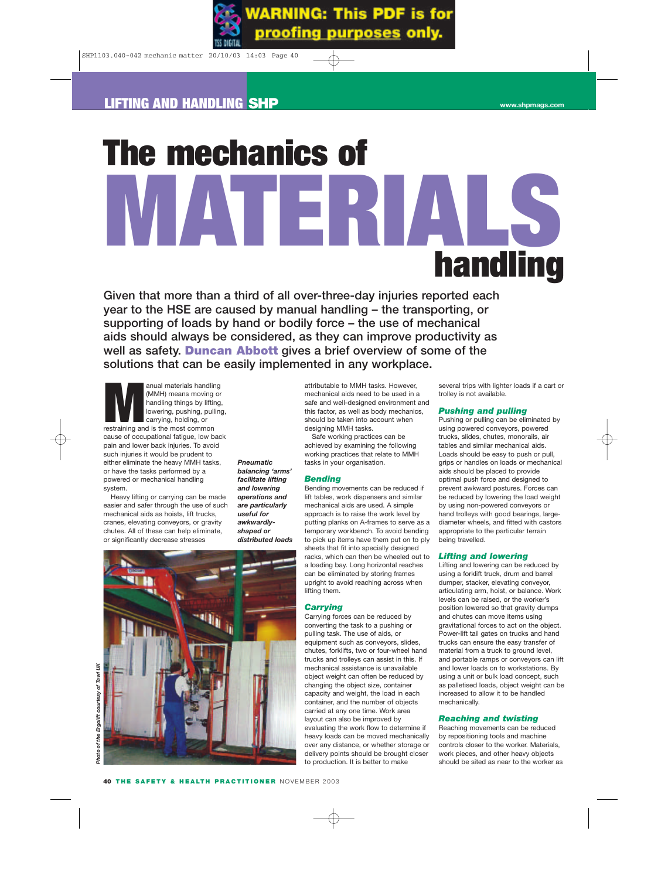# **The mechanics of MATERIALS handling**

**Given that more than a third of all over-three-day injuries reported each year to the HSE are caused by manual handling – the transporting, or supporting of loads by hand or bodily force – the use of mechanical aids should always be considered, as they can improve productivity as well as safety. Duncan Abbott gives a brief overview of some of the solutions that can be easily implemented in any workplace.** 

anual materials handling<br>
(MMH) means moving or<br>
landling things by lifting<br>
lowering, pushing, pullin<br>
carrying, holding, or<br>
restraining and is the most common (MMH) means moving or handling things by lifting, lowering, pushing, pulling, carrying, holding, or cause of occupational fatigue, low back pain and lower back injuries. To avoid such injuries it would be prudent to either eliminate the heavy MMH tasks, or have the tasks performed by a powered or mechanical handling system.

Heavy lifting or carrying can be made easier and safer through the use of such mechanical aids as hoists, lift trucks, cranes, elevating conveyors, or gravity chutes. All of these can help eliminate, or significantly decrease stresses

*Pneumatic balancing 'arms' facilitate lifting and lowering operations and are particularly useful for awkwardlyshaped or distributed loads* attributable to MMH tasks. However, mechanical aids need to be used in a safe and well-designed environment and this factor, as well as body mechanics, should be taken into account when designing MMH tasks.

Safe working practices can be achieved by examining the following working practices that relate to MMH tasks in your organisation.

#### *Bending*

Bending movements can be reduced if lift tables, work dispensers and similar mechanical aids are used. A simple approach is to raise the work level by putting planks on A-frames to serve as a temporary workbench. To avoid bending to pick up items have them put on to ply sheets that fit into specially designed racks, which can then be wheeled out to a loading bay. Long horizontal reaches can be eliminated by storing frames upright to avoid reaching across when lifting them.

#### *Carrying*

Carrying forces can be reduced by converting the task to a pushing or pulling task. The use of aids, or equipment such as conveyors, slides, chutes, forklifts, two or four-wheel hand trucks and trolleys can assist in this. If mechanical assistance is unavailable object weight can often be reduced by changing the object size, container capacity and weight, the load in each container, and the number of objects carried at any one time. Work area layout can also be improved by evaluating the work flow to determine if heavy loads can be moved mechanically over any distance, or whether storage or delivery points should be brought closer to production. It is better to make

several trips with lighter loads if a cart or trolley is not available.

#### *Pushing and pulling*

Pushing or pulling can be eliminated by using powered conveyors, powered trucks, slides, chutes, monorails, air tables and similar mechanical aids. Loads should be easy to push or pull, grips or handles on loads or mechanical aids should be placed to provide optimal push force and designed to prevent awkward postures. Forces can be reduced by lowering the load weight by using non-powered conveyors or hand trolleys with good bearings, largediameter wheels, and fitted with castors appropriate to the particular terrain being travelled.

#### *Lifting and lowering*

Lifting and lowering can be reduced by using a forklift truck, drum and barrel dumper, stacker, elevating conveyor, articulating arm, hoist, or balance. Work levels can be raised, or the worker's position lowered so that gravity dumps and chutes can move items using gravitational forces to act on the object. Power-lift tail gates on trucks and hand trucks can ensure the easy transfer of material from a truck to ground level, and portable ramps or conveyors can lift and lower loads on to workstations. By using a unit or bulk load concept, such as palletised loads, object weight can be increased to allow it to be handled mechanically.

#### *Reaching and twisting*

Reaching movements can be reduced by repositioning tools and machine controls closer to the worker. Materials, work pieces, and other heavy objects should be sited as near to the worker as

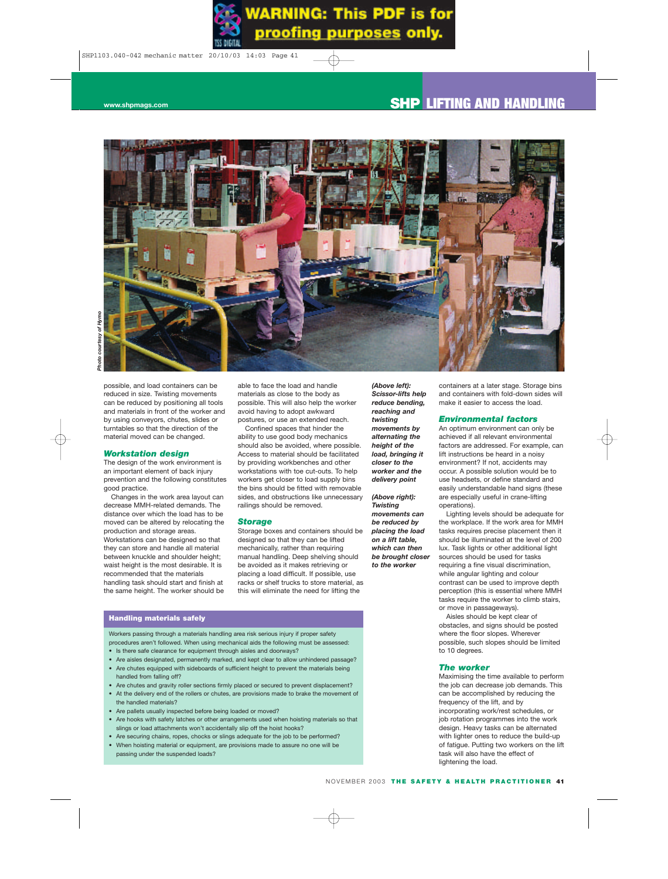

possible, and load containers can be reduced in size. Twisting movements can be reduced by positioning all tools and materials in front of the worker and by using conveyors, chutes, slides or turntables so that the direction of the material moved can be changed.

#### *Workstation design*

The design of the work environment is an important element of back injury prevention and the following constitutes good practice.

Changes in the work area layout can decrease MMH-related demands. The distance over which the load has to be moved can be altered by relocating the production and storage areas. Workstations can be designed so that they can store and handle all material between knuckle and shoulder height; waist height is the most desirable. It is recommended that the materials handling task should start and finish at the same height. The worker should be

able to face the load and handle materials as close to the body as possible. This will also help the worker avoid having to adopt awkward postures, or use an extended reach.

Confined spaces that hinder the ability to use good body mechanics should also be avoided, where possible. Access to material should be facilitated by providing workbenches and other workstations with toe cut-outs. To help workers get closer to load supply bins the bins should be fitted with removable sides, and obstructions like unnecessary railings should be removed.

#### *Storage*

Storage boxes and containers should be designed so that they can be lifted mechanically, rather than requiring manual handling. Deep shelving should be avoided as it makes retrieving or placing a load difficult. If possible, use racks or shelf trucks to store material, as this will eliminate the need for lifting the

*(Above left): Scissor-lifts help reduce bending, reaching and twisting movements by alternating the height of the load, bringing it closer to the worker and the delivery point*

*(Above right): Twisting movements can be reduced by placing the load on a lift table, which can then be brought closer to the worker*

containers at a later stage. Storage bins and containers with fold-down sides will make it easier to access the load.

#### *Environmental factors*

An optimum environment can only be achieved if all relevant environmental factors are addressed. For example, can lift instructions be heard in a noisy environment? If not, accidents may occur. A possible solution would be to use headsets, or define standard and easily understandable hand signs (these are especially useful in crane-lifting operations).

Lighting levels should be adequate for the workplace. If the work area for MMH tasks requires precise placement then it should be illuminated at the level of 200 lux. Task lights or other additional light sources should be used for tasks requiring a fine visual discrimination, while angular lighting and colour contrast can be used to improve depth perception (this is essential where MMH tasks require the worker to climb stairs, or move in passageways).

Aisles should be kept clear of obstacles, and signs should be posted where the floor slopes. Wherever possible, such slopes should be limited to 10 degrees.

#### *The worker*

Maximising the time available to perform the job can decrease job demands. This can be accomplished by reducing the frequency of the lift, and by incorporating work/rest schedules, or job rotation programmes into the work design. Heavy tasks can be alternated with lighter ones to reduce the build-up of fatigue. Putting two workers on the lift task will also have the effect of lightening the load.

#### **Handling materials safely**

Workers passing through a materials handling area risk serious injury if proper safety procedures aren't followed. When using mechanical aids the following must be assessed: • Is there safe clearance for equipment through aisles and doorways?

- 
- Are aisles designated, permanently marked, and kept clear to allow unhindered passage? • Are chutes equipped with sideboards of sufficient height to prevent the materials being
- handled from falling off?
- Are chutes and gravity roller sections firmly placed or secured to prevent displacement?
- At the delivery end of the rollers or chutes, are provisions made to brake the movement of the handled materials?
- Are pallets usually inspected before being loaded or moved?
- Are hooks with safety latches or other arrangements used when hoisting materials so that slings or load attachments won't accidentally slip off the hoist hooks?
- Are securing chains, ropes, chocks or slings adequate for the job to be performed? • When hoisting material or equipment, are provisions made to assure no one will be passing under the suspended loads?
	-